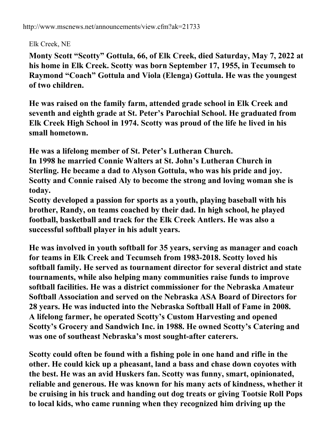Elk Creek, NE

**Monty Scott "Scotty" Gottula, 66, of Elk Creek, died Saturday, May 7, 2022 at his home in Elk Creek. Scotty was born September 17, 1955, in Tecumseh to Raymond "Coach" Gottula and Viola (Elenga) Gottula. He was the youngest of two children.**

**He was raised on the family farm, attended grade school in Elk Creek and seventh and eighth grade at St. Peter's Parochial School. He graduated from Elk Creek High School in 1974. Scotty was proud of the life he lived in his small hometown.**

**He was a lifelong member of St. Peter's Lutheran Church.**

**In 1998 he married Connie Walters at St. John's Lutheran Church in Sterling. He became a dad to Alyson Gottula, who was his pride and joy. Scotty and Connie raised Aly to become the strong and loving woman she is today.**

**Scotty developed a passion for sports as a youth, playing baseball with his brother, Randy, on teams coached by their dad. In high school, he played football, basketball and track for the Elk Creek Antlers. He was also a successful softball player in his adult years.**

**He was involved in youth softball for 35 years, serving as manager and coach for teams in Elk Creek and Tecumseh from 1983-2018. Scotty loved his softball family. He served as tournament director for several district and state tournaments, while also helping many communities raise funds to improve softball facilities. He was a district commissioner for the Nebraska Amateur Softball Association and served on the Nebraska ASA Board of Directors for 28 years. He was inducted into the Nebraska Softball Hall of Fame in 2008. A lifelong farmer, he operated Scotty's Custom Harvesting and opened Scotty's Grocery and Sandwich Inc. in 1988. He owned Scotty's Catering and was one of southeast Nebraska's most sought-after caterers.**

**Scotty could often be found with a fishing pole in one hand and rifle in the other. He could kick up a pheasant, land a bass and chase down coyotes with the best. He was an avid Huskers fan. Scotty was funny, smart, opinionated, reliable and generous. He was known for his many acts of kindness, whether it be cruising in his truck and handing out dog treats or giving Tootsie Roll Pops to local kids, who came running when they recognized him driving up the**